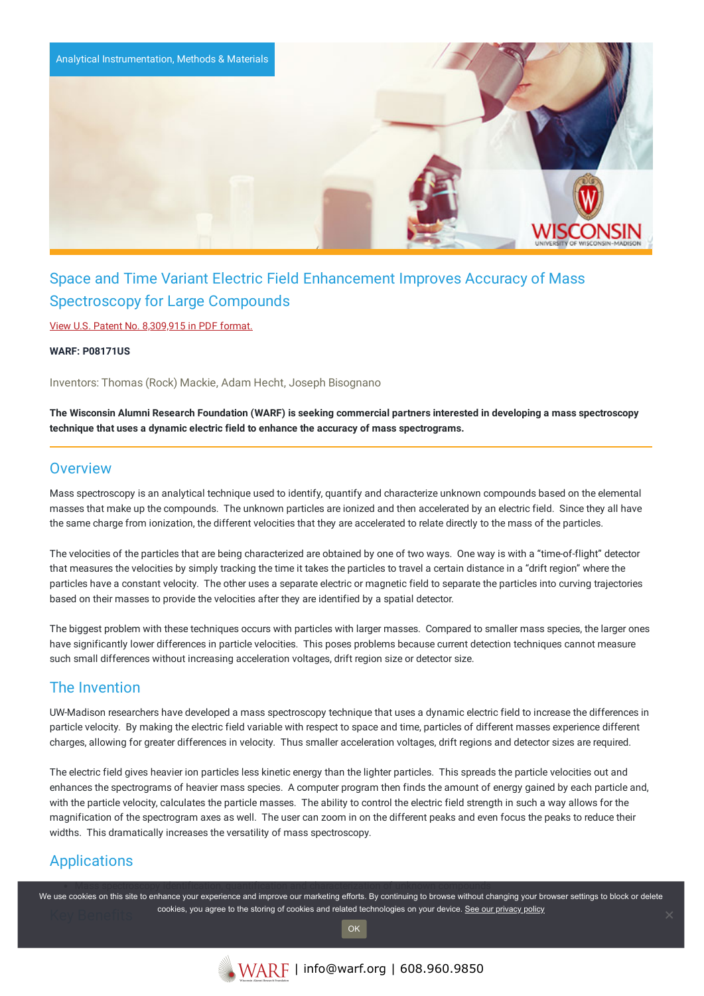

# Space and Time Variant Electric Field Enhancement Improves Accuracy of Mass Spectroscopy for Large Compounds

View U.S. Patent No. [8,309,915](https://www.warf.org/wp-content/uploads/technologies/ipstatus/P08171US.PDF) in PDF format.

**WARF: P08171US**

Inventors: Thomas (Rock) Mackie, Adam Hecht, Joseph Bisognano

The Wisconsin Alumni Research Foundation (WARF) is seeking commercial partners interested in developing a mass spectroscopy **technique that uses a dynamic electric field to enhance the accuracy of mass spectrograms.**

#### **Overview**

Mass spectroscopy is an analytical technique used to identify, quantify and characterize unknown compounds based on the elemental masses that make up the compounds. The unknown particles are ionized and then accelerated by an electric field. Since they all have the same charge from ionization, the different velocities that they are accelerated to relate directly to the mass of the particles.

The velocities of the particles that are being characterized are obtained by one of two ways. One way is with a "time-of-flight" detector that measures the velocities by simply tracking the time it takes the particles to travel a certain distance in a "drift region" where the particles have a constant velocity. The other uses a separate electric or magnetic field to separate the particles into curving trajectories based on their masses to provide the velocities after they are identified by a spatial detector.

The biggest problem with these techniques occurs with particles with larger masses. Compared to smaller mass species, the larger ones have significantly lower differences in particle velocities. This poses problems because current detection techniques cannot measure such small differences without increasing acceleration voltages, drift region size or detector size.

### The Invention

UW-Madison researchers have developed a mass spectroscopy technique that uses a dynamic electric field to increase the differences in particle velocity. By making the electric field variable with respect to space and time, particles of different masses experience different charges, allowing for greater differences in velocity. Thus smaller acceleration voltages, drift regions and detector sizes are required.

The electric field gives heavier ion particles less kinetic energy than the lighter particles. This spreads the particle velocities out and enhances the spectrograms of heavier mass species. A computer program then finds the amount of energy gained by each particle and, with the particle velocity, calculates the particle masses. The ability to control the electric field strength in such a way allows for the magnification of the spectrogram axes as well. The user can zoom in on the different peaks and even focus the peaks to reduce their widths. This dramatically increases the versatility of mass spectroscopy.

## Applications

We use cookies on this site to enhance your experience and improve our marketing efforts. By continuing to browse without changing your browser settings to block or delete cookies, you agree to the storing of cookies and related technologies on your device. [See our privacy policy](https://www.warf.org/privacy-policy/)

OK